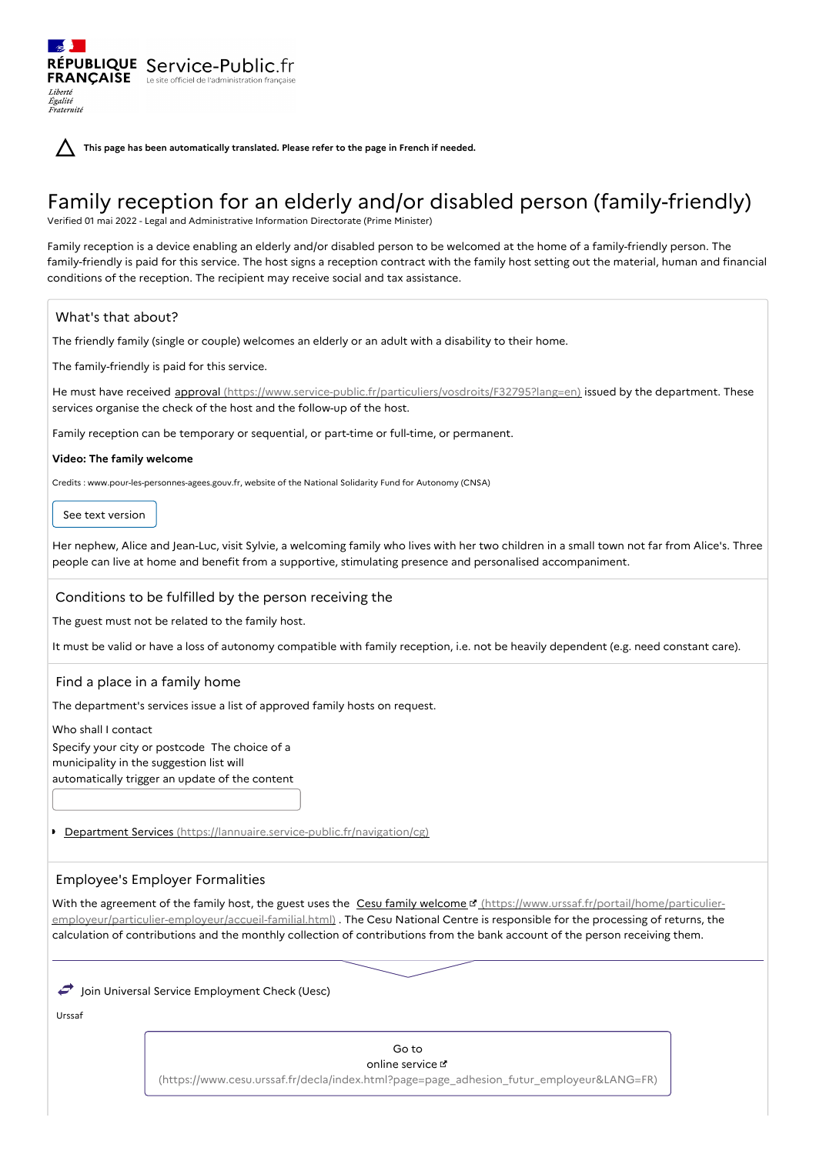**This page has been automatically translated. Please refer to the page in French if needed.**

# Family reception for an elderly and/or disabled person (family-friendly)

Verified 01 mai 2022 - Legal and Administrative Information Directorate (Prime Minister)

Family reception is a device enabling an elderly and/or disabled person to be welcomed at the home of a family-friendly person. The family-friendly is paid for this service. The host signs a reception contract with the family host setting out the material, human and financial conditions of the reception. The recipient may receive social and tax assistance.

# What's that about?

Liberté Égalité<br>Fraternité

The friendly family (single or couple) welcomes an elderly or an adult with a disability to their home.

The family-friendly is paid for this service.

RÉPUBLIQUE Service-Public.fr **FRANÇAISE** Le site officiel de l'administration

He must have received approval [\(https://www.service-public.fr/particuliers/vosdroits/F32795?lang=en\)](https://www.service-public.fr/particuliers/vosdroits/F32795?lang=en) issued by the department. These services organise the check of the host and the follow-up of the host.

Family reception can be temporary or sequential, or part-time or full-time, or permanent.

## **Video: The family welcome**

Credits : www.pour-les-personnes-agees.gouv.fr, website of the National Solidarity Fund for Autonomy (CNSA)

See text version

Her nephew, Alice and Jean-Luc, visit Sylvie, a welcoming family who lives with her two children in a small town not far from Alice's. Three people can live at home and benefit from a supportive, stimulating presence and personalised accompaniment.

## Conditions to be fulfilled by the person receiving the

The guest must not be related to the family host.

It must be valid or have a loss of autonomy compatible with family reception, i.e. not be heavily dependent (e.g. need constant care).

# Find a place in a family home

The department's services issue a list of approved family hosts on request.

Who shall I contact Specify your city or postcode The choice of a municipality in the suggestion list will automatically trigger an update of the content

Department Services [\(https://lannuaire.service-public.fr/navigation/cg\)](https://lannuaire.service-public.fr/navigation/cg)

# Employee's Employer Formalities

With the agreement of the family host, the guest uses the Cesu family welcome L' (https://www.urssaf.fr/portail/home/particulier[employeur/particulier-employeur/accueil-familial.html\)](https://www.urssaf.fr/portail/home/particulier-employeur/particulier-employeur/accueil-familial.html) . The Cesu National Centre is responsible for the processing of returns, the calculation of contributions and the monthly collection of contributions from the bank account of the person receiving them.

 $\rightarrow$  Join Universal Service Employment Check (Uesc)

Urssaf

Go to online service &

[\(https://www.cesu.urssaf.fr/decla/index.html?page=page\\_adhesion\\_futur\\_employeur&LANG=FR\)](https://www.cesu.urssaf.fr/decla/index.html?page=page_adhesion_futur_employeur&LANG=FR)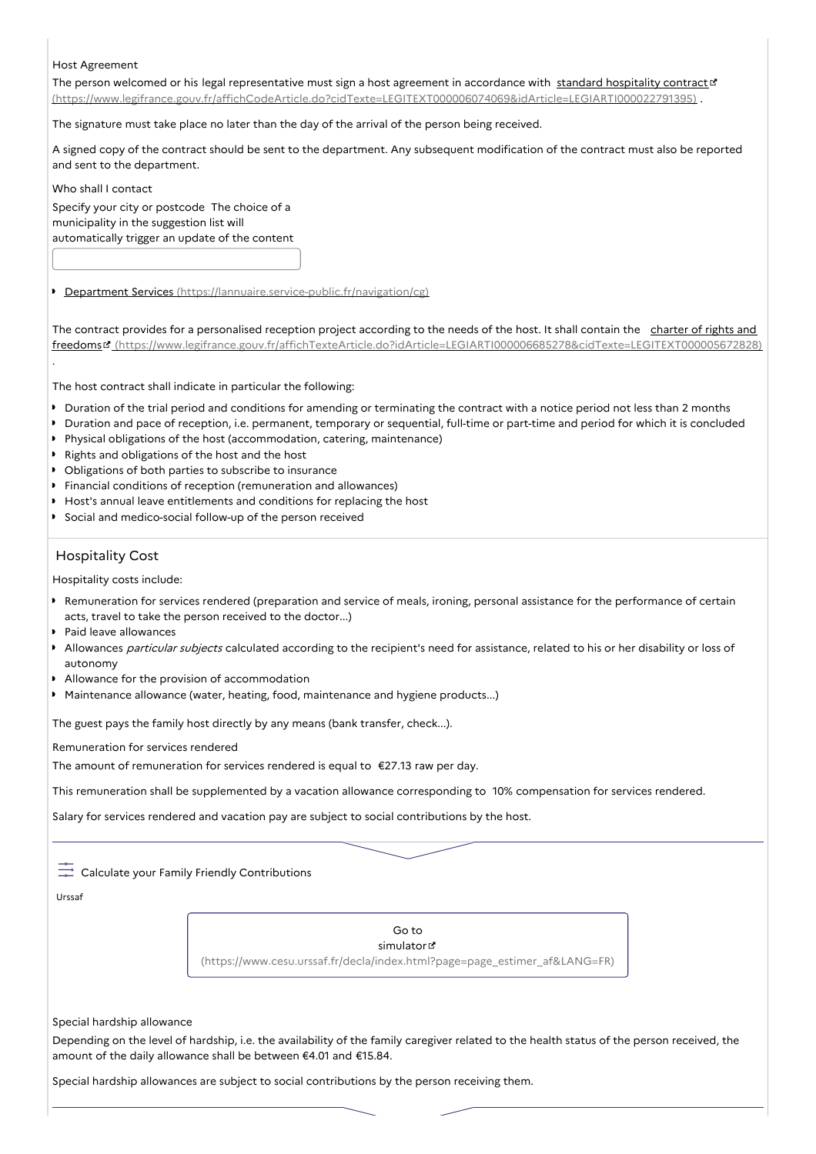## Host Agreement

The person welcomed or his legal representative must sign a host agreement in accordance with standard hospitality contract of [\(https://www.legifrance.gouv.fr/affichCodeArticle.do?cidTexte=LEGITEXT000006074069&idArticle=LEGIARTI000022791395\)](https://www.legifrance.gouv.fr/affichCodeArticle.do?cidTexte=LEGITEXT000006074069&idArticle=LEGIARTI000022791395) .

The signature must take place no later than the day of the arrival of the person being received.

A signed copy of the contract should be sent to the department. Any subsequent modification of the contract must also be reported and sent to the department.

Who shall I contact

.

Specify your city or postcode The choice of a municipality in the suggestion list will automatically trigger an update of the content

Department Services [\(https://lannuaire.service-public.fr/navigation/cg\)](https://lannuaire.service-public.fr/navigation/cg)

The contract provides for a personalised reception project according to the needs of the host. It shall contain the charter of rights and freedoms [\(https://www.legifrance.gouv.fr/affichTexteArticle.do?idArticle=LEGIARTI000006685278&cidTexte=LEGITEXT000005672828\)](https://www.legifrance.gouv.fr/affichTexteArticle.do?idArticle=LEGIARTI000006685278&cidTexte=LEGITEXT000005672828)

The host contract shall indicate in particular the following:

- Duration of the trial period and conditions for amending or terminating the contract with a notice period not less than 2 months
- Duration and pace of reception, i.e. permanent, temporary or sequential, full-time or part-time and period for which it is concluded
- Physical obligations of the host (accommodation, catering, maintenance)
- Rights and obligations of the host and the host
- Obligations of both parties to subscribe to insurance
- Financial conditions of reception (remuneration and allowances)
- Host's annual leave entitlements and conditions for replacing the host
- Social and medico-social follow-up of the person received

# Hospitality Cost

Hospitality costs include:

- Remuneration for services rendered (preparation and service of meals, ironing, personal assistance for the performance of certain acts, travel to take the person received to the doctor...)
- Paid leave allowances
- Allowances particular subjects calculated according to the recipient's need for assistance, related to his or her disability or loss of autonomy
- Allowance for the provision of accommodation
- Maintenance allowance (water, heating, food, maintenance and hygiene products...)

The guest pays the family host directly by any means (bank transfer, check...).

Remuneration for services rendered

The amount of remuneration for services rendered is equal to €27.13 raw per day.

This remuneration shall be supplemented by a vacation allowance corresponding to 10% compensation for services rendered.

Salary for services rendered and vacation pay are subject to social contributions by the host.

## Calculate your Family Friendly Contributions

Urssaf

Go to simulator [\(https://www.cesu.urssaf.fr/decla/index.html?page=page\\_estimer\\_af&LANG=FR\)](https://www.cesu.urssaf.fr/decla/index.html?page=page_estimer_af&LANG=FR)

#### Special hardship allowance

Depending on the level of hardship, i.e. the availability of the family caregiver related to the health status of the person received, the amount of the daily allowance shall be between €4.01 and €15.84.

Special hardship allowances are subject to social contributions by the person receiving them.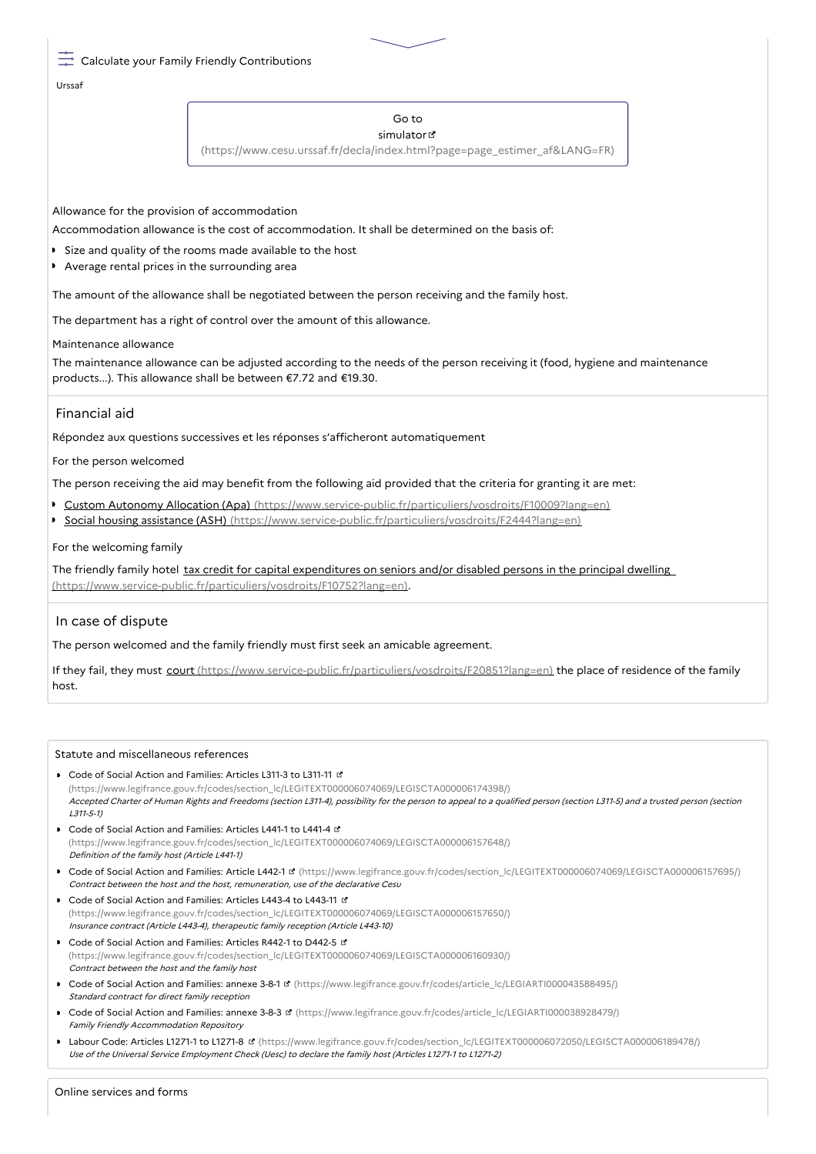## Calculate your Family Friendly Contributions

Urssaf

#### Go to simulator<sup>®</sup>

[\(https://www.cesu.urssaf.fr/decla/index.html?page=page\\_estimer\\_af&LANG=FR\)](https://www.cesu.urssaf.fr/decla/index.html?page=page_estimer_af&LANG=FR)

Allowance for the provision of accommodation

Accommodation allowance is the cost of accommodation. It shall be determined on the basis of:

- Size and quality of the rooms made available to the host
- Average rental prices in the surrounding area

The amount of the allowance shall be negotiated between the person receiving and the family host.

The department has a right of control over the amount of this allowance.

#### Maintenance allowance

The maintenance allowance can be adjusted according to the needs of the person receiving it (food, hygiene and maintenance products...). This allowance shall be between €7.72 and €19.30.

# Financial aid

Répondez aux questions successives et les réponses s'afficheront automatiquement

#### For the person welcomed

The person receiving the aid may benefit from the following aid provided that the criteria for granting it are met:

- Custom Autonomy Allocation (Apa) [\(https://www.service-public.fr/particuliers/vosdroits/F10009?lang=en\)](https://www.service-public.fr/particuliers/vosdroits/F10009?lang=en)
- Social housing assistance (ASH) [\(https://www.service-public.fr/particuliers/vosdroits/F2444?lang=en\)](https://www.service-public.fr/particuliers/vosdroits/F2444?lang=en)

#### For the welcoming family

The friendly family hotel tax credit for capital expenditures on seniors and/or disabled persons in the principal dwelling [\(https://www.service-public.fr/particuliers/vosdroits/F10752?lang=en\).](https://www.service-public.fr/particuliers/vosdroits/F10752?lang=en)

## In case of dispute

The person welcomed and the family friendly must first seek an amicable agreement.

If they fail, they must court [\(https://www.service-public.fr/particuliers/vosdroits/F20851?lang=en\)](https://www.service-public.fr/particuliers/vosdroits/F20851?lang=en) the place of residence of the family host.

#### Statute and miscellaneous references

- **Code of Social Action and Families: Articles L311-3 to L311-11 L2** [\(https://www.legifrance.gouv.fr/codes/section\\_lc/LEGITEXT000006074069/LEGISCTA000006174398/\)](https://www.legifrance.gouv.fr/codes/section_lc/LEGITEXT000006074069/LEGISCTA000006174398/) Accepted Charter of Human Rights and Freedoms (section L311-4), possibility for the person to appeal to <sup>a</sup> qualified person (section L311-5) and <sup>a</sup> trusted person (section L311-5-1)
- Code of Social Action and Families: Articles L441-1 to L441-4 [\(https://www.legifrance.gouv.fr/codes/section\\_lc/LEGITEXT000006074069/LEGISCTA000006157648/\)](https://www.legifrance.gouv.fr/codes/section_lc/LEGITEXT000006074069/LEGISCTA000006157648/) Definition of the family host (Article L441-1)
- Code of Social Action and Families: Article L442-1 **d** [\(https://www.legifrance.gouv.fr/codes/section\\_lc/LEGITEXT000006074069/LEGISCTA000006157695/\)](https://www.legifrance.gouv.fr/codes/section_lc/LEGITEXT000006074069/LEGISCTA000006157695/) Contract between the host and the host, remuneration, use of the declarative Cesu
- Code of Social Action and Families: Articles L443-4 to L443-11 [\(https://www.legifrance.gouv.fr/codes/section\\_lc/LEGITEXT000006074069/LEGISCTA000006157650/\)](https://www.legifrance.gouv.fr/codes/section_lc/LEGITEXT000006074069/LEGISCTA000006157650/) Insurance contract (Article L443-4), therapeutic family reception (Article L443-10)
- Code of Social Action and Families: Articles R442-1 to D442-5 & [\(https://www.legifrance.gouv.fr/codes/section\\_lc/LEGITEXT000006074069/LEGISCTA000006160930/\)](https://www.legifrance.gouv.fr/codes/section_lc/LEGITEXT000006074069/LEGISCTA000006160930/) Contract between the host and the family host
- Code of Social Action and Families: annexe 3-8-1 [\(https://www.legifrance.gouv.fr/codes/article\\_lc/LEGIARTI000043588495/\)](https://www.legifrance.gouv.fr/codes/article_lc/LEGIARTI000043588495/) Standard contract for direct family reception
- Code of Social Action and Families: annexe 3-8-3 **¤** [\(https://www.legifrance.gouv.fr/codes/article\\_lc/LEGIARTI000038928479/\)](https://www.legifrance.gouv.fr/codes/article_lc/LEGIARTI000038928479/) Family Friendly Accommodation Repository
- Labour Code: Articles L1271-1 to L1271-8 [\(https://www.legifrance.gouv.fr/codes/section\\_lc/LEGITEXT000006072050/LEGISCTA000006189478/\)](https://www.legifrance.gouv.fr/codes/section_lc/LEGITEXT000006072050/LEGISCTA000006189478/) Use of the Universal Service Employment Check (Uesc) to declare the family host (Articles L1271-1 to L1271-2)